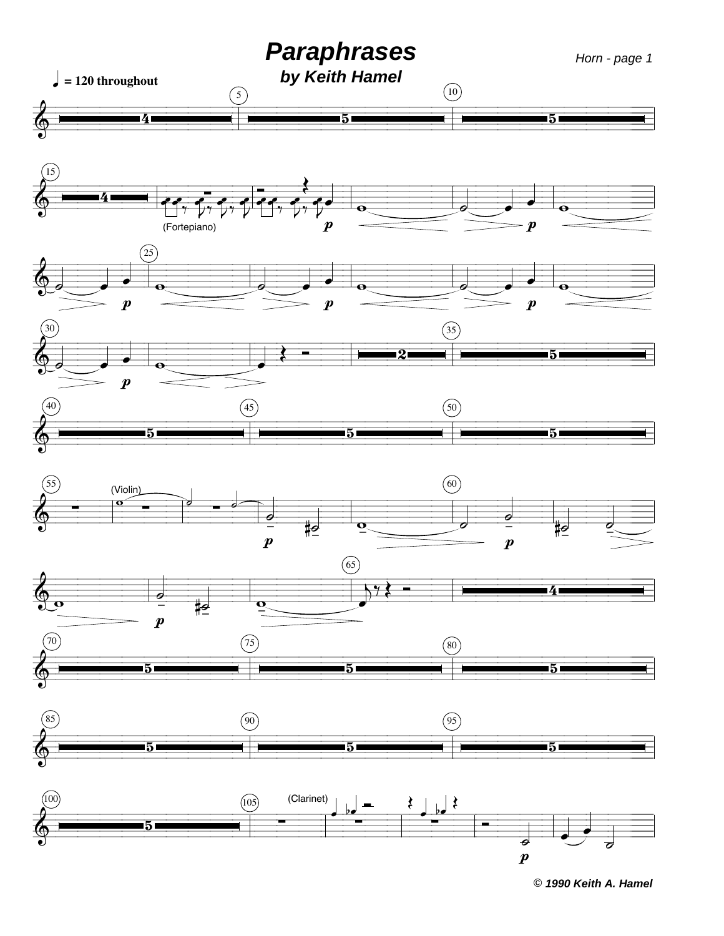

© 1990 Keith A. Hamel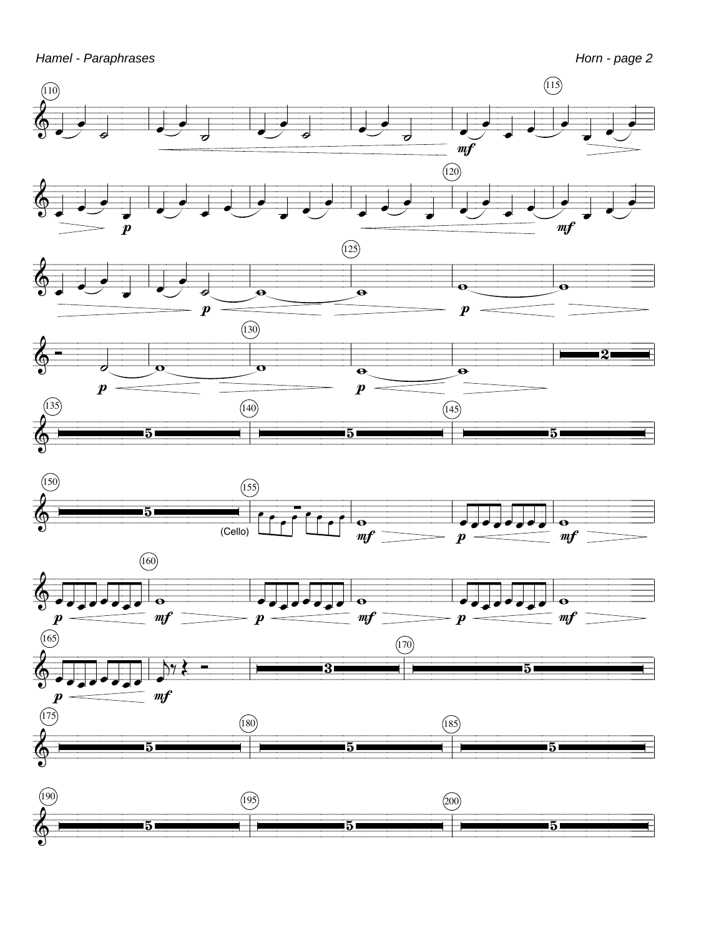Hamel - Paraphrases